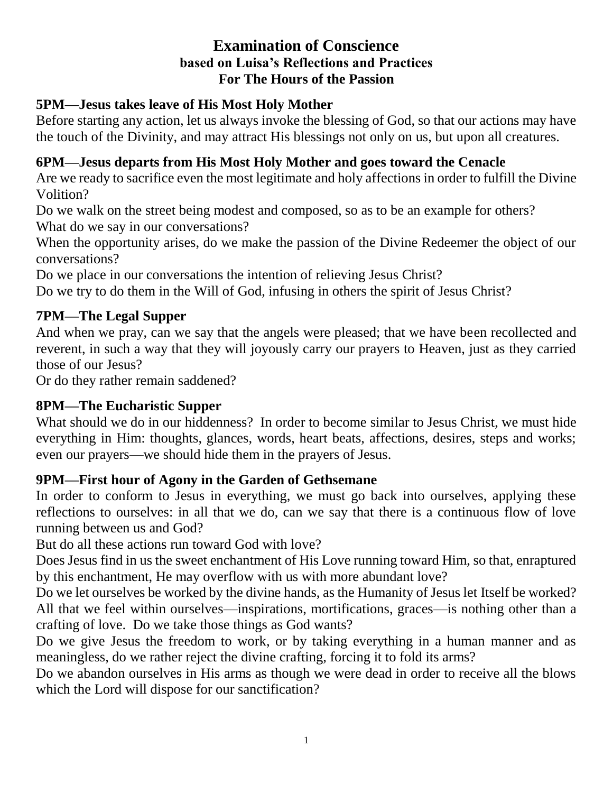#### **Examination of Conscience based on Luisa's Reflections and Practices For The Hours of the Passion**

#### **5PM—Jesus takes leave of His Most Holy Mother**

Before starting any action, let us always invoke the blessing of God, so that our actions may have the touch of the Divinity, and may attract His blessings not only on us, but upon all creatures.

#### **6PM—Jesus departs from His Most Holy Mother and goes toward the Cenacle**

Are we ready to sacrifice even the most legitimate and holy affections in order to fulfill the Divine Volition?

Do we walk on the street being modest and composed, so as to be an example for others? What do we say in our conversations?

When the opportunity arises, do we make the passion of the Divine Redeemer the object of our conversations?

Do we place in our conversations the intention of relieving Jesus Christ?

Do we try to do them in the Will of God, infusing in others the spirit of Jesus Christ?

#### **7PM—The Legal Supper**

And when we pray, can we say that the angels were pleased; that we have been recollected and reverent, in such a way that they will joyously carry our prayers to Heaven, just as they carried those of our Jesus?

Or do they rather remain saddened?

#### **8PM—The Eucharistic Supper**

What should we do in our hiddenness? In order to become similar to Jesus Christ, we must hide everything in Him: thoughts, glances, words, heart beats, affections, desires, steps and works; even our prayers—we should hide them in the prayers of Jesus.

#### **9PM—First hour of Agony in the Garden of Gethsemane**

In order to conform to Jesus in everything, we must go back into ourselves, applying these reflections to ourselves: in all that we do, can we say that there is a continuous flow of love running between us and God?

But do all these actions run toward God with love?

Does Jesus find in us the sweet enchantment of His Love running toward Him, so that, enraptured by this enchantment, He may overflow with us with more abundant love?

Do we let ourselves be worked by the divine hands, as the Humanity of Jesus let Itself be worked? All that we feel within ourselves—inspirations, mortifications, graces—is nothing other than a crafting of love. Do we take those things as God wants?

Do we give Jesus the freedom to work, or by taking everything in a human manner and as meaningless, do we rather reject the divine crafting, forcing it to fold its arms?

Do we abandon ourselves in His arms as though we were dead in order to receive all the blows which the Lord will dispose for our sanctification?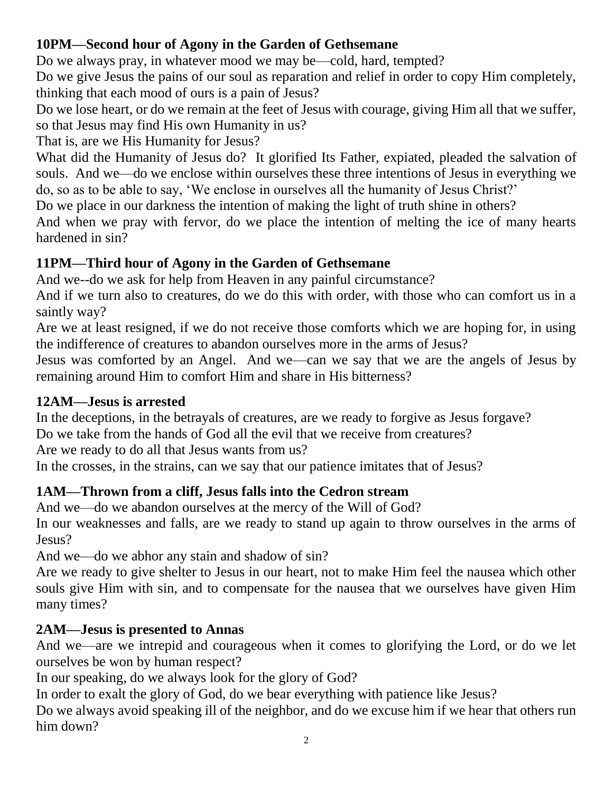## **10PM—Second hour of Agony in the Garden of Gethsemane**

Do we always pray, in whatever mood we may be—cold, hard, tempted?

Do we give Jesus the pains of our soul as reparation and relief in order to copy Him completely, thinking that each mood of ours is a pain of Jesus?

Do we lose heart, or do we remain at the feet of Jesus with courage, giving Him all that we suffer, so that Jesus may find His own Humanity in us?

That is, are we His Humanity for Jesus?

What did the Humanity of Jesus do? It glorified Its Father, expiated, pleaded the salvation of souls. And we—do we enclose within ourselves these three intentions of Jesus in everything we do, so as to be able to say, 'We enclose in ourselves all the humanity of Jesus Christ?'

Do we place in our darkness the intention of making the light of truth shine in others?

And when we pray with fervor, do we place the intention of melting the ice of many hearts hardened in sin?

# **11PM—Third hour of Agony in the Garden of Gethsemane**

And we--do we ask for help from Heaven in any painful circumstance?

And if we turn also to creatures, do we do this with order, with those who can comfort us in a saintly way?

Are we at least resigned, if we do not receive those comforts which we are hoping for, in using the indifference of creatures to abandon ourselves more in the arms of Jesus?

Jesus was comforted by an Angel. And we—can we say that we are the angels of Jesus by remaining around Him to comfort Him and share in His bitterness?

## **12AM—Jesus is arrested**

In the deceptions, in the betrayals of creatures, are we ready to forgive as Jesus forgave?

Do we take from the hands of God all the evil that we receive from creatures?

Are we ready to do all that Jesus wants from us?

In the crosses, in the strains, can we say that our patience imitates that of Jesus?

# **1AM—Thrown from a cliff, Jesus falls into the Cedron stream**

And we—do we abandon ourselves at the mercy of the Will of God?

In our weaknesses and falls, are we ready to stand up again to throw ourselves in the arms of Jesus?

And we—do we abhor any stain and shadow of sin?

Are we ready to give shelter to Jesus in our heart, not to make Him feel the nausea which other souls give Him with sin, and to compensate for the nausea that we ourselves have given Him many times?

# **2AM—Jesus is presented to Annas**

And we—are we intrepid and courageous when it comes to glorifying the Lord, or do we let ourselves be won by human respect?

In our speaking, do we always look for the glory of God?

In order to exalt the glory of God, do we bear everything with patience like Jesus?

Do we always avoid speaking ill of the neighbor, and do we excuse him if we hear that others run him down?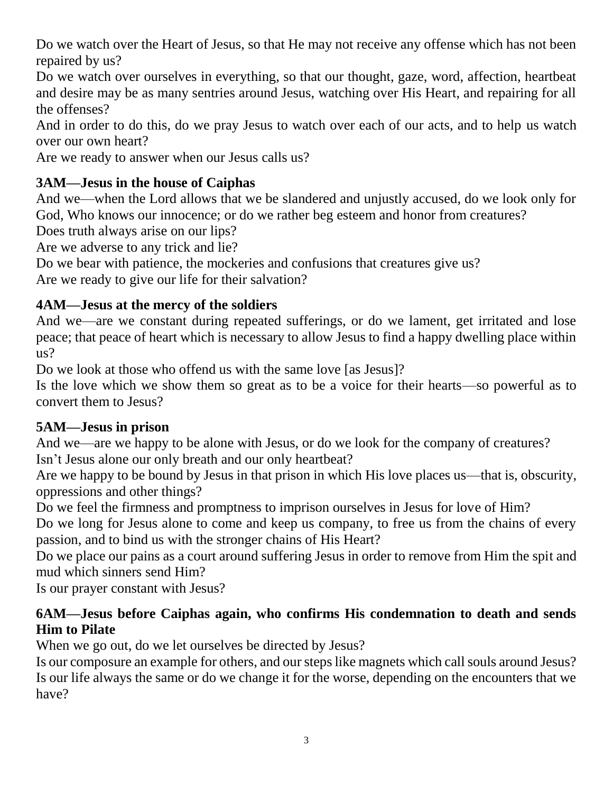Do we watch over the Heart of Jesus, so that He may not receive any offense which has not been repaired by us?

Do we watch over ourselves in everything, so that our thought, gaze, word, affection, heartbeat and desire may be as many sentries around Jesus, watching over His Heart, and repairing for all the offenses?

And in order to do this, do we pray Jesus to watch over each of our acts, and to help us watch over our own heart?

Are we ready to answer when our Jesus calls us?

## **3AM—Jesus in the house of Caiphas**

And we—when the Lord allows that we be slandered and unjustly accused, do we look only for God, Who knows our innocence; or do we rather beg esteem and honor from creatures?

Does truth always arise on our lips?

Are we adverse to any trick and lie?

Do we bear with patience, the mockeries and confusions that creatures give us?

Are we ready to give our life for their salvation?

## **4AM—Jesus at the mercy of the soldiers**

And we—are we constant during repeated sufferings, or do we lament, get irritated and lose peace; that peace of heart which is necessary to allow Jesus to find a happy dwelling place within us?

Do we look at those who offend us with the same love [as Jesus]?

Is the love which we show them so great as to be a voice for their hearts—so powerful as to convert them to Jesus?

## **5AM—Jesus in prison**

And we—are we happy to be alone with Jesus, or do we look for the company of creatures? Isn't Jesus alone our only breath and our only heartbeat?

Are we happy to be bound by Jesus in that prison in which His love places us—that is, obscurity, oppressions and other things?

Do we feel the firmness and promptness to imprison ourselves in Jesus for love of Him?

Do we long for Jesus alone to come and keep us company, to free us from the chains of every passion, and to bind us with the stronger chains of His Heart?

Do we place our pains as a court around suffering Jesus in order to remove from Him the spit and mud which sinners send Him?

Is our prayer constant with Jesus?

## **6AM—Jesus before Caiphas again, who confirms His condemnation to death and sends Him to Pilate**

When we go out, do we let ourselves be directed by Jesus?

Is our composure an example for others, and our steps like magnets which call souls around Jesus? Is our life always the same or do we change it for the worse, depending on the encounters that we have?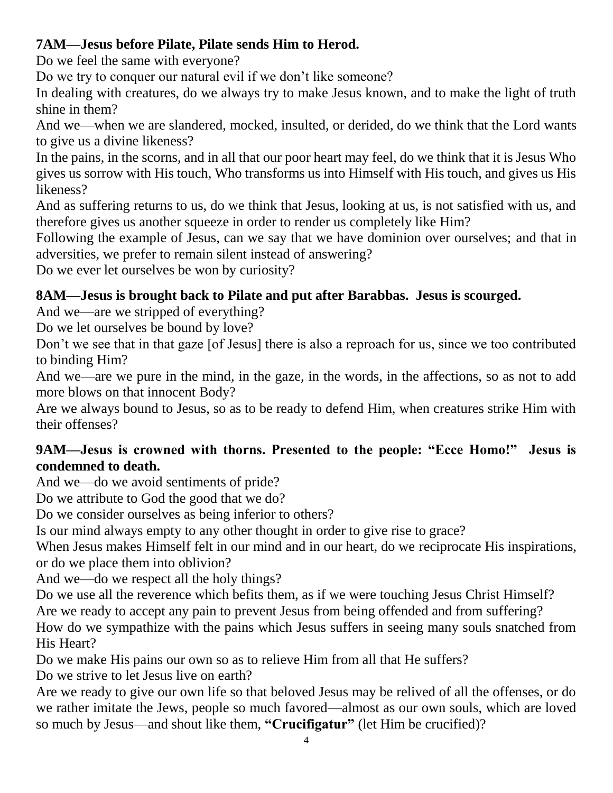# **7AM—Jesus before Pilate, Pilate sends Him to Herod.**

Do we feel the same with everyone?

Do we try to conquer our natural evil if we don't like someone?

In dealing with creatures, do we always try to make Jesus known, and to make the light of truth shine in them?

And we—when we are slandered, mocked, insulted, or derided, do we think that the Lord wants to give us a divine likeness?

In the pains, in the scorns, and in all that our poor heart may feel, do we think that it is Jesus Who gives us sorrow with His touch, Who transforms us into Himself with His touch, and gives us His likeness?

And as suffering returns to us, do we think that Jesus, looking at us, is not satisfied with us, and therefore gives us another squeeze in order to render us completely like Him?

Following the example of Jesus, can we say that we have dominion over ourselves; and that in adversities, we prefer to remain silent instead of answering?

Do we ever let ourselves be won by curiosity?

# **8AM—Jesus is brought back to Pilate and put after Barabbas. Jesus is scourged.**

And we—are we stripped of everything?

Do we let ourselves be bound by love?

Don't we see that in that gaze [of Jesus] there is also a reproach for us, since we too contributed to binding Him?

And we—are we pure in the mind, in the gaze, in the words, in the affections, so as not to add more blows on that innocent Body?

Are we always bound to Jesus, so as to be ready to defend Him, when creatures strike Him with their offenses?

## **9AM—Jesus is crowned with thorns. Presented to the people: "Ecce Homo!" Jesus is condemned to death.**

And we—do we avoid sentiments of pride?

Do we attribute to God the good that we do?

Do we consider ourselves as being inferior to others?

Is our mind always empty to any other thought in order to give rise to grace?

When Jesus makes Himself felt in our mind and in our heart, do we reciprocate His inspirations, or do we place them into oblivion?

And we—do we respect all the holy things?

Do we use all the reverence which befits them, as if we were touching Jesus Christ Himself?

Are we ready to accept any pain to prevent Jesus from being offended and from suffering?

How do we sympathize with the pains which Jesus suffers in seeing many souls snatched from His Heart?

Do we make His pains our own so as to relieve Him from all that He suffers?

Do we strive to let Jesus live on earth?

Are we ready to give our own life so that beloved Jesus may be relived of all the offenses, or do we rather imitate the Jews, people so much favored—almost as our own souls, which are loved so much by Jesus—and shout like them, **"Crucifigatur"** (let Him be crucified)?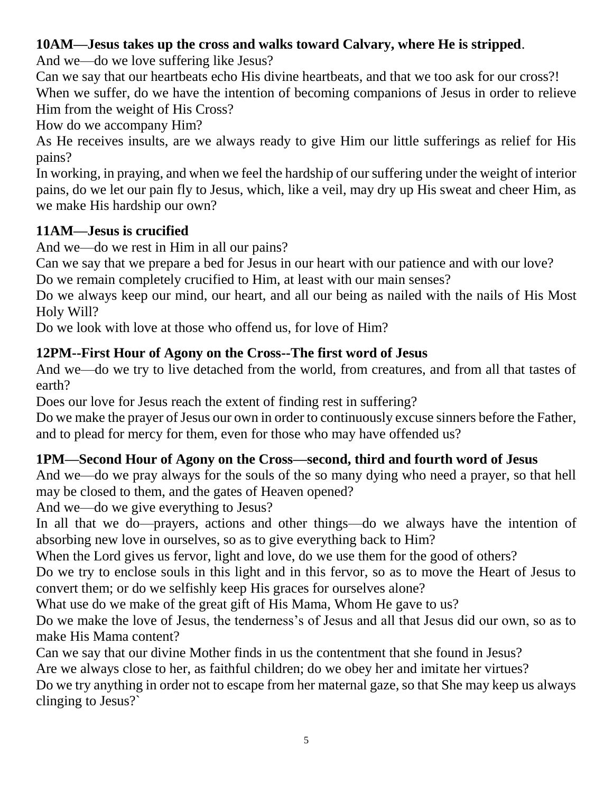## **10AM—Jesus takes up the cross and walks toward Calvary, where He is stripped**.

And we—do we love suffering like Jesus?

Can we say that our heartbeats echo His divine heartbeats, and that we too ask for our cross?! When we suffer, do we have the intention of becoming companions of Jesus in order to relieve Him from the weight of His Cross?

How do we accompany Him?

As He receives insults, are we always ready to give Him our little sufferings as relief for His pains?

In working, in praying, and when we feel the hardship of our suffering under the weight of interior pains, do we let our pain fly to Jesus, which, like a veil, may dry up His sweat and cheer Him, as we make His hardship our own?

# **11AM—Jesus is crucified**

And we—do we rest in Him in all our pains?

Can we say that we prepare a bed for Jesus in our heart with our patience and with our love?

Do we remain completely crucified to Him, at least with our main senses?

Do we always keep our mind, our heart, and all our being as nailed with the nails of His Most Holy Will?

Do we look with love at those who offend us, for love of Him?

# **12PM--First Hour of Agony on the Cross--The first word of Jesus**

And we—do we try to live detached from the world, from creatures, and from all that tastes of earth?

Does our love for Jesus reach the extent of finding rest in suffering?

Do we make the prayer of Jesus our own in order to continuously excuse sinners before the Father, and to plead for mercy for them, even for those who may have offended us?

# **1PM—Second Hour of Agony on the Cross—second, third and fourth word of Jesus**

And we—do we pray always for the souls of the so many dying who need a prayer, so that hell may be closed to them, and the gates of Heaven opened?

And we—do we give everything to Jesus?

In all that we do—prayers, actions and other things—do we always have the intention of absorbing new love in ourselves, so as to give everything back to Him?

When the Lord gives us fervor, light and love, do we use them for the good of others?

Do we try to enclose souls in this light and in this fervor, so as to move the Heart of Jesus to convert them; or do we selfishly keep His graces for ourselves alone?

What use do we make of the great gift of His Mama, Whom He gave to us?

Do we make the love of Jesus, the tenderness's of Jesus and all that Jesus did our own, so as to make His Mama content?

Can we say that our divine Mother finds in us the contentment that she found in Jesus?

Are we always close to her, as faithful children; do we obey her and imitate her virtues?

Do we try anything in order not to escape from her maternal gaze, so that She may keep us always clinging to Jesus?`